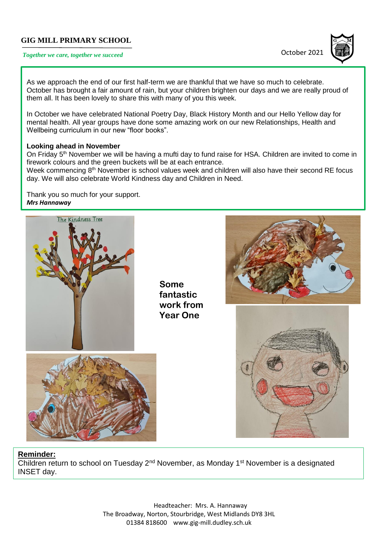## **GIG MILL PRIMARY SCHOOL**

# **Together we care, together we succeed COLOGET 2021**



As we approach the end of our first half-term we are thankful that we have so much to celebrate. October has brought a fair amount of rain, but your children brighten our days and we are really proud of them all. It has been lovely to share this with many of you this week.

In October we have celebrated National Poetry Day, Black History Month and our Hello Yellow day for mental health. All year groups have done some amazing work on our new Relationships, Health and Wellbeing curriculum in our new "floor books".

#### **Looking ahead in November**

On Friday 5<sup>th</sup> November we will be having a mufti day to fund raise for HSA. Children are invited to come in firework colours and the green buckets will be at each entrance.

Week commencing 8<sup>th</sup> November is school values week and children will also have their second RE focus day. We will also celebrate World Kindness day and Children in Need.

*Year 1 work Mrs Hannaway* Thank you so much for your support.



**Some fantastic work from Year One**







#### **Reminder:**

Children return to school on Tuesday 2<sup>nd</sup> November, as Monday 1<sup>st</sup> November is a designated INSET day.

> Headteacher: Mrs. A. Hannaway The Broadway, Norton, Stourbridge, West Midlands DY8 3HL 01384 818600 [www.gig-mill.dudley.sch.uk](http://www.gig-mill.dudley.sch.uk/)